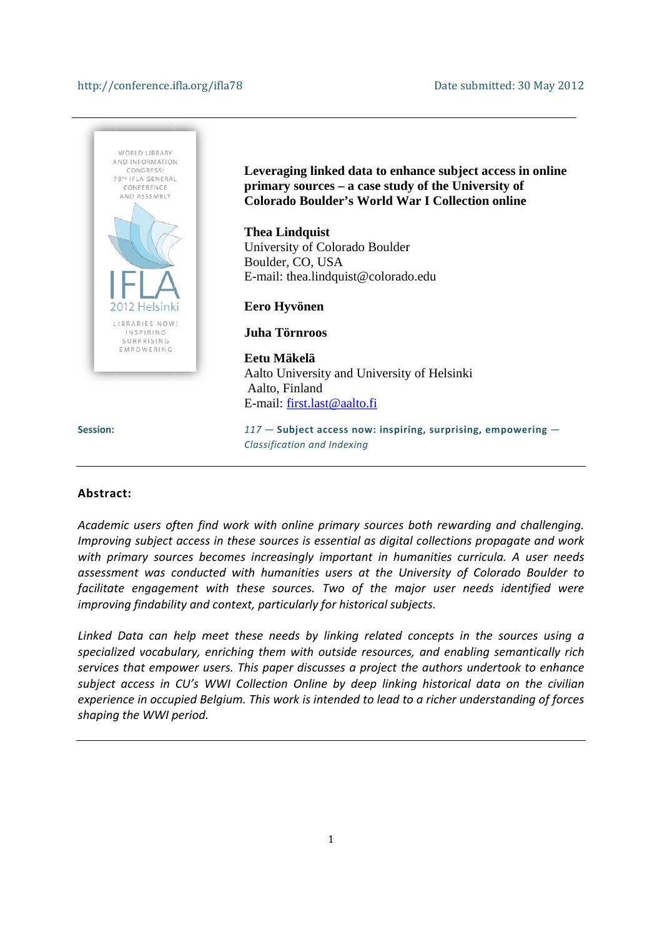#### http://conference.ifla.org/ifla78



#### **Abstra ct:**

Academic users often find work with online primary sources both rewarding and challenging. Improving subject access in these sources is essential as digital collections propagate and work with primary sources becomes increasingly important in humanities curricula. A user needs *assessm ment was c conducted w with huma nities users s at the Un niversity of f Colorado Boulder to* facilitate engagement with these sources. Two of the major user needs identified were *improving findability and context, particularly for historical subjects. .ksoehens*

*Linked Data can h help meet these need ds by linkin ng related concepts in n the sourc ces using a speciali ized vocabu ulary, enrich hing them with outsid de resources s, and enab bling seman ntically rich services that empower users. This paper discusses a project the authors undertook to enhance* subject access in CU's WWI Collection Online by deep linking historical data on the civilian *experience in occupied Belgium. This work is intended to lead to a richer understanding of forces shaping g the WWI p period.*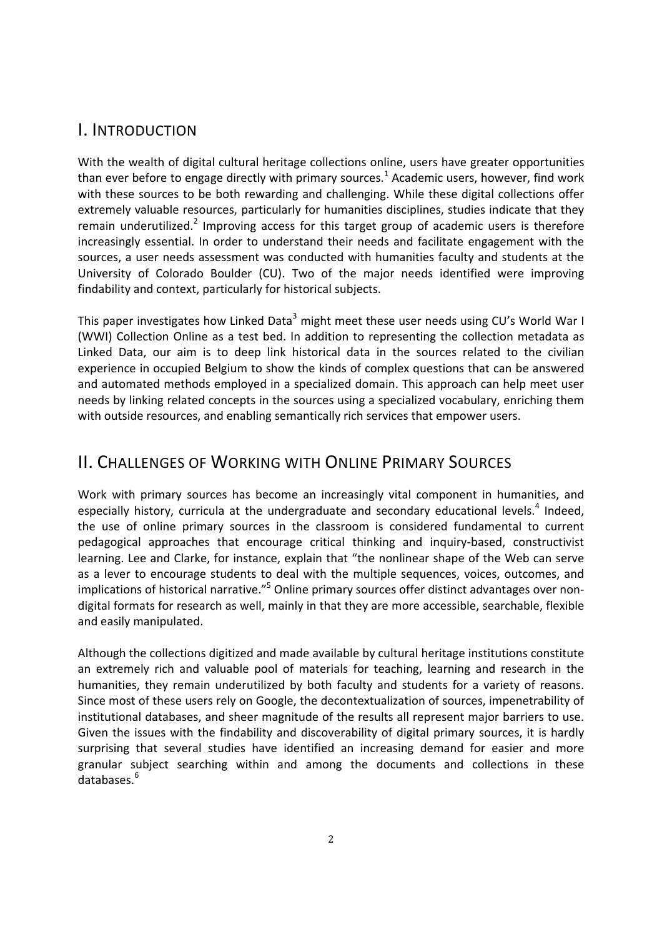### I. INTRODUCTION

With the wealth of digital cultural heritage collections online, users have greater opportunities than ever before to engage directly with primary sources.<sup>1</sup> Academic users, however, find work with these sources to be both rewarding and challenging. While these digital collections offer extremely valuable resources, particularly for humanities disciplines, studies indicate that they remain underutilized.<sup>2</sup> Improving access for this target group of academic users is therefore increasingly essential. In order to understand their needs and facilitate engagement with the sources, a user needs assessment was conducted with humanities faculty and students at the University of Colorado Boulder (CU). Two of the major needs identified were improving findability and context, particularly for historical subjects.

This paper investigates how Linked Data<sup>3</sup> might meet these user needs using CU's World War I (WWI) Collection Online as a test bed. In addition to representing the collection metadata as Linked Data, our aim is to deep link historical data in the sources related to the civilian experience in occupied Belgium to show the kinds of complex questions that can be answered and automated methods employed in a specialized domain. This approach can help meet user needs by linking related concepts in the sources using a specialized vocabulary, enriching them with outside resources, and enabling semantically rich services that empower users.

# II. CHALLENGES OF WORKING WITH ONLINE PRIMARY SOURCES

Work with primary sources has become an increasingly vital component in humanities, and especially history, curricula at the undergraduate and secondary educational levels.<sup>4</sup> Indeed, the use of online primary sources in the classroom is considered fundamental to current pedagogical approaches that encourage critical thinking and inquiry-based, constructivist learning. Lee and Clarke, for instance, explain that "the nonlinear shape of the Web can serve as a lever to encourage students to deal with the multiple sequences, voices, outcomes, and implications of historical narrative."<sup>5</sup> Online primary sources offer distinct advantages over nondigital formats for research as well, mainly in that they are more accessible, searchable, flexible and easily manipulated.

Although the collections digitized and made available by cultural heritage institutions constitute an extremely rich and valuable pool of materials for teaching, learning and research in the humanities, they remain underutilized by both faculty and students for a variety of reasons. Since most of these users rely on Google, the decontextualization of sources, impenetrability of institutional databases, and sheer magnitude of the results all represent major barriers to use. Given the issues with the findability and discoverability of digital primary sources, it is hardly surprising that several studies have identified an increasing demand for easier and more granular subject searching within and among the documents and collections in these databases.<sup>6</sup>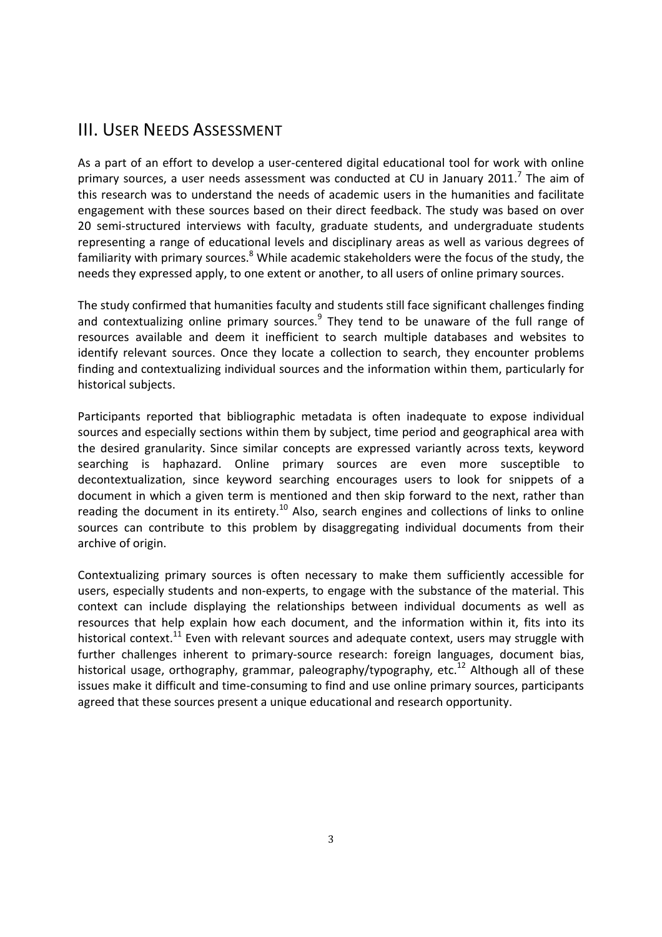# III. USER NEEDS ASSESSMENT

As a part of an effort to develop a user-centered digital educational tool for work with online primary sources, a user needs assessment was conducted at CU in January 2011.<sup>7</sup> The aim of this research was to understand the needs of academic users in the humanities and facilitate engagement with these sources based on their direct feedback. The study was based on over 20 semi-structured interviews with faculty, graduate students, and undergraduate students representing a range of educational levels and disciplinary areas as well as various degrees of familiarity with primary sources.<sup>8</sup> While academic stakeholders were the focus of the study, the needs they expressed apply, to one extent or another, to all users of online primary sources.

The study confirmed that humanities faculty and students still face significant challenges finding and contextualizing online primary sources.<sup>9</sup> They tend to be unaware of the full range of resources available and deem it inefficient to search multiple databases and websites to identify relevant sources. Once they locate a collection to search, they encounter problems finding and contextualizing individual sources and the information within them, particularly for historical subjects.

Participants reported that bibliographic metadata is often inadequate to expose individual sources and especially sections within them by subject, time period and geographical area with the desired granularity. Since similar concepts are expressed variantly across texts, keyword searching is haphazard. Online primary sources are even more susceptible to decontextualization, since keyword searching encourages users to look for snippets of a document in which a given term is mentioned and then skip forward to the next, rather than reading the document in its entirety.<sup>10</sup> Also, search engines and collections of links to online sources can contribute to this problem by disaggregating individual documents from their archive of origin.

Contextualizing primary sources is often necessary to make them sufficiently accessible for users, especially students and non-experts, to engage with the substance of the material. This context can include displaying the relationships between individual documents as well as resources that help explain how each document, and the information within it, fits into its historical context.<sup>11</sup> Even with relevant sources and adequate context, users may struggle with further challenges inherent to primary-source research: foreign languages, document bias, historical usage, orthography, grammar, paleography/typography, etc.<sup>12</sup> Although all of these issues make it difficult and time-consuming to find and use online primary sources, participants agreed that these sources present a unique educational and research opportunity.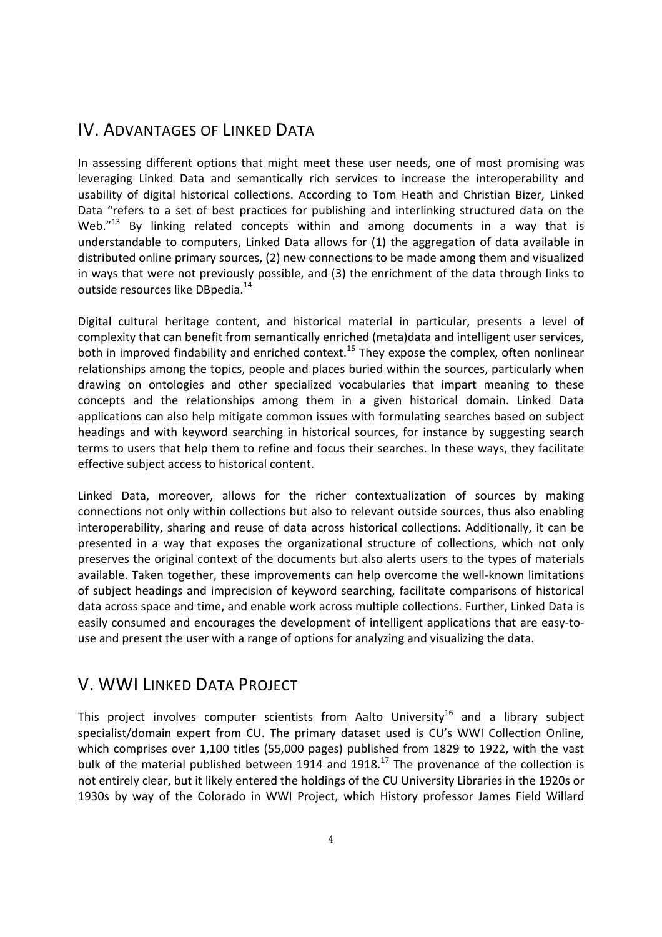## IV. ADVANTAGES OF LINKED DATA

In assessing different options that might meet these user needs, one of most promising was leveraging Linked Data and semantically rich services to increase the interoperability and usability of digital historical collections. According to Tom Heath and Christian Bizer, Linked Data "refers to a set of best practices for publishing and interlinking structured data on the Web. $^{\prime\prime}$ <sup>13</sup> By linking related concepts within and among documents in a way that is understandable to computers, Linked Data allows for (1) the aggregation of data available in distributed online primary sources, (2) new connections to be made among them and visualized in ways that were not previously possible, and (3) the enrichment of the data through links to outside resources like DBpedia.<sup>14</sup>

Digital cultural heritage content, and historical material in particular, presents a level of complexity that can benefit from semantically enriched (meta)data and intelligent user services, both in improved findability and enriched context.<sup>15</sup> They expose the complex, often nonlinear relationships among the topics, people and places buried within the sources, particularly when drawing on ontologies and other specialized vocabularies that impart meaning to these concepts and the relationships among them in a given historical domain. Linked Data applications can also help mitigate common issues with formulating searches based on subject headings and with keyword searching in historical sources, for instance by suggesting search terms to users that help them to refine and focus their searches. In these ways, they facilitate effective subject access to historical content.

Linked Data, moreover, allows for the richer contextualization of sources by making connections not only within collections but also to relevant outside sources, thus also enabling interoperability, sharing and reuse of data across historical collections. Additionally, it can be presented in a way that exposes the organizational structure of collections, which not only preserves the original context of the documents but also alerts users to the types of materials available. Taken together, these improvements can help overcome the well-known limitations of subject headings and imprecision of keyword searching, facilitate comparisons of historical data across space and time, and enable work across multiple collections. Further, Linked Data is easily consumed and encourages the development of intelligent applications that are easy-touse and present the user with a range of options for analyzing and visualizing the data.

## V. WWI LINKED DATA PROJECT

This project involves computer scientists from Aalto University<sup>16</sup> and a library subject specialist/domain expert from CU. The primary dataset used is CU's WWI Collection Online, which comprises over 1,100 titles (55,000 pages) published from 1829 to 1922, with the vast bulk of the material published between 1914 and 1918.<sup>17</sup> The provenance of the collection is not entirely clear, but it likely entered the holdings of the CU University Libraries in the 1920s or 1930s by way of the Colorado in WWI Project, which History professor James Field Willard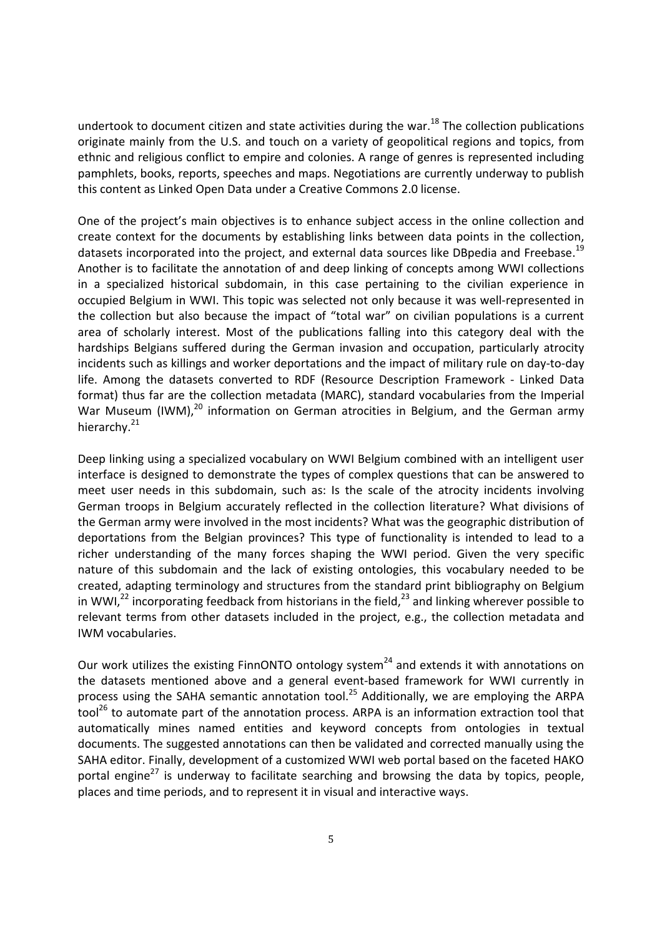undertook to document citizen and state activities during the war.<sup>18</sup> The collection publications originate mainly from the U.S. and touch on a variety of geopolitical regions and topics, from ethnic and religious conflict to empire and colonies. A range of genres is represented including pamphlets, books, reports, speeches and maps. Negotiations are currently underway to publish this content as Linked Open Data under a Creative Commons 2.0 license.

One of the project's main objectives is to enhance subject access in the online collection and create context for the documents by establishing links between data points in the collection, datasets incorporated into the project, and external data sources like DBpedia and Freebase.<sup>19</sup> Another is to facilitate the annotation of and deep linking of concepts among WWI collections in a specialized historical subdomain, in this case pertaining to the civilian experience in occupied Belgium in WWI. This topic was selected not only because it was well-represented in the collection but also because the impact of "total war" on civilian populations is a current area of scholarly interest. Most of the publications falling into this category deal with the hardships Belgians suffered during the German invasion and occupation, particularly atrocity incidents such as killings and worker deportations and the impact of military rule on day-to-day life. Among the datasets converted to RDF (Resource Description Framework - Linked Data format) thus far are the collection metadata (MARC), standard vocabularies from the Imperial War Museum (IWM),<sup>20</sup> information on German atrocities in Belgium, and the German army hierarchy.<sup>21</sup>

Deep linking using a specialized vocabulary on WWI Belgium combined with an intelligent user interface is designed to demonstrate the types of complex questions that can be answered to meet user needs in this subdomain, such as: Is the scale of the atrocity incidents involving German troops in Belgium accurately reflected in the collection literature? What divisions of the German army were involved in the most incidents? What was the geographic distribution of deportations from the Belgian provinces? This type of functionality is intended to lead to a richer understanding of the many forces shaping the WWI period. Given the very specific nature of this subdomain and the lack of existing ontologies, this vocabulary needed to be created, adapting terminology and structures from the standard print bibliography on Belgium in WWI,<sup>22</sup> incorporating feedback from historians in the field,<sup>23</sup> and linking wherever possible to relevant terms from other datasets included in the project, e.g., the collection metadata and IWM vocabularies.

Our work utilizes the existing FinnONTO ontology system<sup>24</sup> and extends it with annotations on the datasets mentioned above and a general event-based framework for WWI currently in process using the SAHA semantic annotation tool.<sup>25</sup> Additionally, we are employing the ARPA  $\text{tool}^{26}$  to automate part of the annotation process. ARPA is an information extraction tool that automatically mines named entities and keyword concepts from ontologies in textual documents. The suggested annotations can then be validated and corrected manually using the SAHA editor. Finally, development of a customized WWI web portal based on the faceted HAKO portal engine<sup>27</sup> is underway to facilitate searching and browsing the data by topics, people, places and time periods, and to represent it in visual and interactive ways.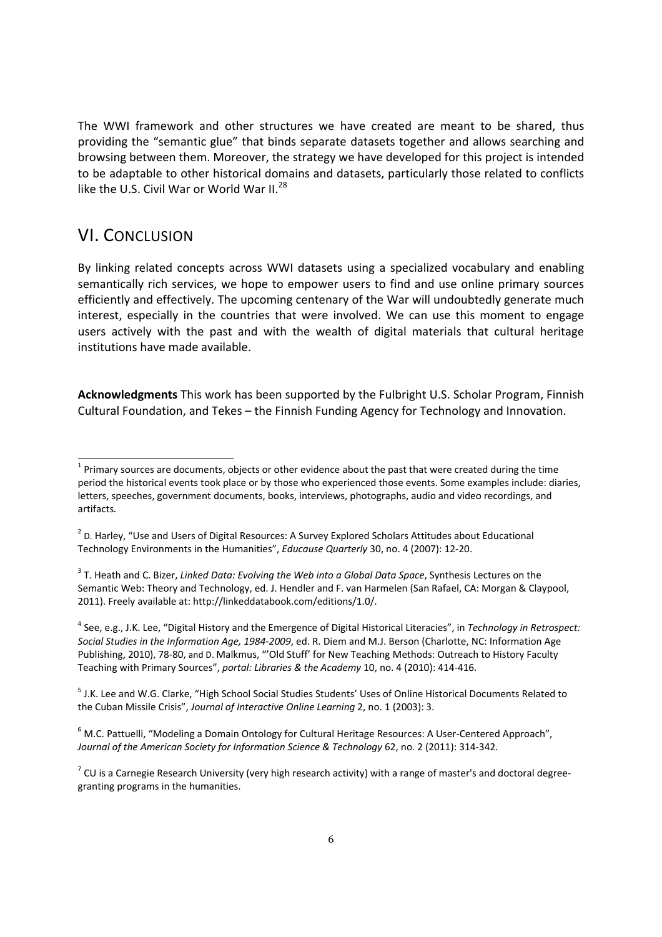The WWI framework and other structures we have created are meant to be shared, thus providing the "semantic glue" that binds separate datasets together and allows searching and browsing between them. Moreover, the strategy we have developed for this project is intended to be adaptable to other historical domains and datasets, particularly those related to conflicts like the U.S. Civil War or World War II.<sup>28</sup>

### VI. CONCLUSION

By linking related concepts across WWI datasets using a specialized vocabulary and enabling semantically rich services, we hope to empower users to find and use online primary sources efficiently and effectively. The upcoming centenary of the War will undoubtedly generate much interest, especially in the countries that were involved. We can use this moment to engage users actively with the past and with the wealth of digital materials that cultural heritage institutions have made available.

**Acknowledgments** This work has been supported by the Fulbright U.S. Scholar Program, Finnish Cultural Foundation, and Tekes – the Finnish Funding Agency for Technology and Innovation.

4 See, e.g., J.K. Lee, "Digital History and the Emergence of Digital Historical Literacies", in *Technology in Retrospect: Social Studies in the Information Age, 1984-2009*, ed. R. Diem and M.J. Berson (Charlotte, NC: Information Age Publishing, 2010), 78-80, and D. Malkmus, "'Old Stuff' for New Teaching Methods: Outreach to History Faculty Teaching with Primary Sources", *portal: Libraries & the Academy* 10, no. 4 (2010): 414-416.

<sup>5</sup> J.K. Lee and W.G. Clarke, "High School Social Studies Students' Uses of Online Historical Documents Related to the Cuban Missile Crisis", *Journal of Interactive Online Learning* 2, no. 1 (2003): 3.

 $^6$  M.C. Pattuelli, "Modeling a Domain Ontology for Cultural Heritage Resources: A User-Centered Approach", *Journal of the American Society for Information Science & Technology* 62, no. 2 (2011): 314-342.

<sup>-&</sup>lt;br>1  $1$  Primary sources are documents, objects or other evidence about the past that were created during the time period the historical events took place or by those who experienced those events. Some examples include: diaries, letters, speeches, government documents, books, interviews, photographs, audio and video recordings, and artifacts.

 $2$  D. Harley, "Use and Users of Digital Resources: A Survey Explored Scholars Attitudes about Educational Technology Environments in the Humanities", *Educause Quarterly* 30, no. 4 (2007): 12-20.

<sup>3</sup> T. Heath and C. Bizer, *Linked Data: Evolving the Web into a Global Data Space*, Synthesis Lectures on the Semantic Web: Theory and Technology, ed. J. Hendler and F. van Harmelen (San Rafael, CA: Morgan & Claypool, 2011). Freely available at: http://linkeddatabook.com/editions/1.0/.

 $^7$  CU is a Carnegie Research University (very high research activity) with a range of master's and doctoral degreegranting programs in the humanities.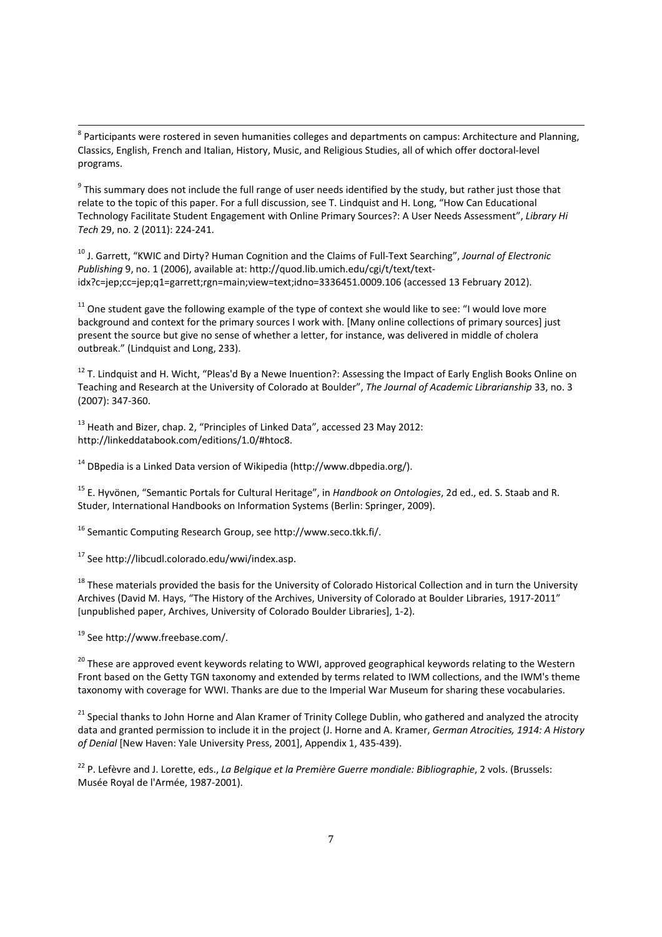<sup>8</sup><br><sup>8</sup> Participants were rostered in seven humanities colleges and departments on campus: Architecture and Planning, Classics, English, French and Italian, History, Music, and Religious Studies, all of which offer doctoral-level programs.

 $9$  This summary does not include the full range of user needs identified by the study, but rather just those that relate to the topic of this paper. For a full discussion, see T. Lindquist and H. Long, "How Can Educational Technology Facilitate Student Engagement with Online Primary Sources?: A User Needs Assessment", *Library Hi Tech* 29, no. 2 (2011): 224-241.

10 J. Garrett, "KWIC and Dirty? Human Cognition and the Claims of Full-Text Searching", *Journal of Electronic Publishing* 9, no. 1 (2006), available at: http://quod.lib.umich.edu/cgi/t/text/textidx?c=jep;cc=jep;q1=garrett;rgn=main;view=text;idno=3336451.0009.106 (accessed 13 February 2012).

 $11$  One student gave the following example of the type of context she would like to see: "I would love more background and context for the primary sources I work with. [Many online collections of primary sources] just present the source but give no sense of whether a letter, for instance, was delivered in middle of cholera outbreak." (Lindquist and Long, 233).

<sup>12</sup> T. Lindquist and H. Wicht, "Pleas'd By a Newe Inuention?: Assessing the Impact of Early English Books Online on Teaching and Research at the University of Colorado at Boulder", *The Journal of Academic Librarianship* 33, no. 3 (2007): 347-360.

<sup>13</sup> Heath and Bizer, chap. 2, "Principles of Linked Data", accessed 23 May 2012: http://linkeddatabook.com/editions/1.0/#htoc8.

 $14$  DBpedia is a Linked Data version of Wikipedia (http://www.dbpedia.org/).

15 E. Hyvönen, "Semantic Portals for Cultural Heritage", in *Handbook on Ontologies*, 2d ed., ed. S. Staab and R. Studer, International Handbooks on Information Systems (Berlin: Springer, 2009).

16 Semantic Computing Research Group, see http://www.seco.tkk.fi/.

17 See http://libcudl.colorado.edu/wwi/index.asp.

<sup>18</sup> These materials provided the basis for the University of Colorado Historical Collection and in turn the University Archives (David M. Hays, "The History of the Archives, University of Colorado at Boulder Libraries, 1917-2011" [unpublished paper, Archives, University of Colorado Boulder Libraries], 1-2).

19 See http://www.freebase.com/.

<sup>20</sup> These are approved event keywords relating to WWI, approved geographical keywords relating to the Western Front based on the Getty TGN taxonomy and extended by terms related to IWM collections, and the IWM's theme taxonomy with coverage for WWI. Thanks are due to the Imperial War Museum for sharing these vocabularies.

<sup>21</sup> Special thanks to John Horne and Alan Kramer of Trinity College Dublin, who gathered and analyzed the atrocity data and granted permission to include it in the project (J. Horne and A. Kramer, *German Atrocities, 1914: A History of Denial* [New Haven: Yale University Press, 2001], Appendix 1, 435-439).

22 P. Lefèvre and J. Lorette, eds., *La Belgique et la Première Guerre mondiale: Bibliographie*, 2 vols. (Brussels: Musée Royal de l'Armée, 1987-2001).